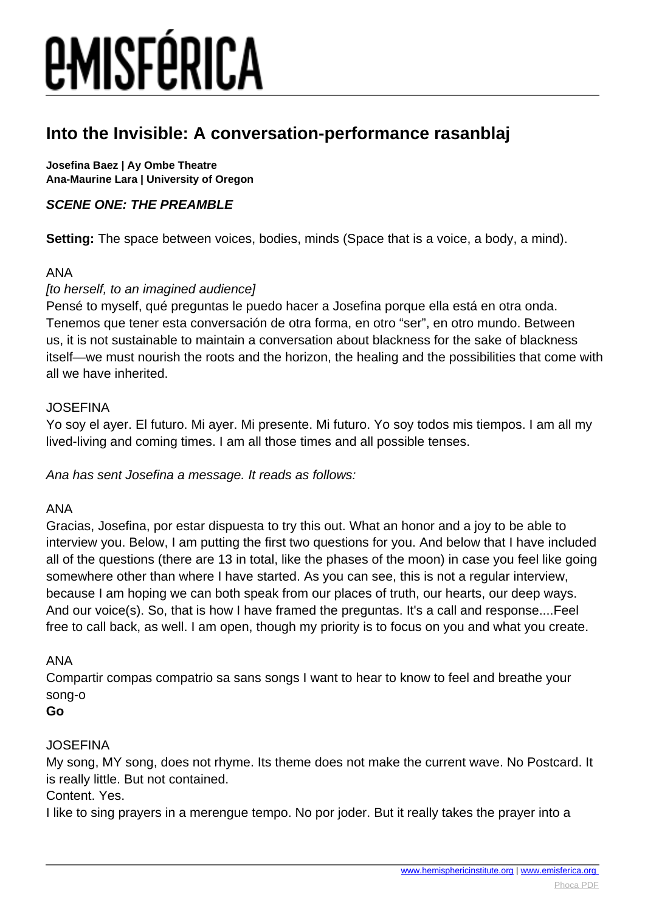## **Into the Invisible: A conversation-performance rasanblaj**

**Josefina Baez | Ay Ombe Theatre Ana-Maurine Lara | University of Oregon**

## **SCENE ONE: THE PREAMBLE**

**Setting:** The space between voices, bodies, minds (Space that is a voice, a body, a mind).

### ANA

## [to herself, to an imagined audience]

Pensé to myself, qué preguntas le puedo hacer a Josefina porque ella está en otra onda. Tenemos que tener esta conversación de otra forma, en otro "ser", en otro mundo. Between us, it is not sustainable to maintain a conversation about blackness for the sake of blackness itself—we must nourish the roots and the horizon, the healing and the possibilities that come with all we have inherited.

### JOSEFINA

Yo soy el ayer. El futuro. Mi ayer. Mi presente. Mi futuro. Yo soy todos mis tiempos. I am all my lived-living and coming times. I am all those times and all possible tenses.

Ana has sent Josefina a message. It reads as follows:

### ANA

Gracias, Josefina, por estar dispuesta to try this out. What an honor and a joy to be able to interview you. Below, I am putting the first two questions for you. And below that I have included all of the questions (there are 13 in total, like the phases of the moon) in case you feel like going somewhere other than where I have started. As you can see, this is not a regular interview, because I am hoping we can both speak from our places of truth, our hearts, our deep ways. And our voice(s). So, that is how I have framed the preguntas. It's a call and response....Feel free to call back, as well. I am open, though my priority is to focus on you and what you create.

## ANA

Compartir compas compatrio sa sans songs I want to hear to know to feel and breathe your song-o

### **Go**

## JOSEFINA

My song, MY song, does not rhyme. Its theme does not make the current wave. No Postcard. It is really little. But not contained.

## Content. Yes.

I like to sing prayers in a merengue tempo. No por joder. But it really takes the prayer into a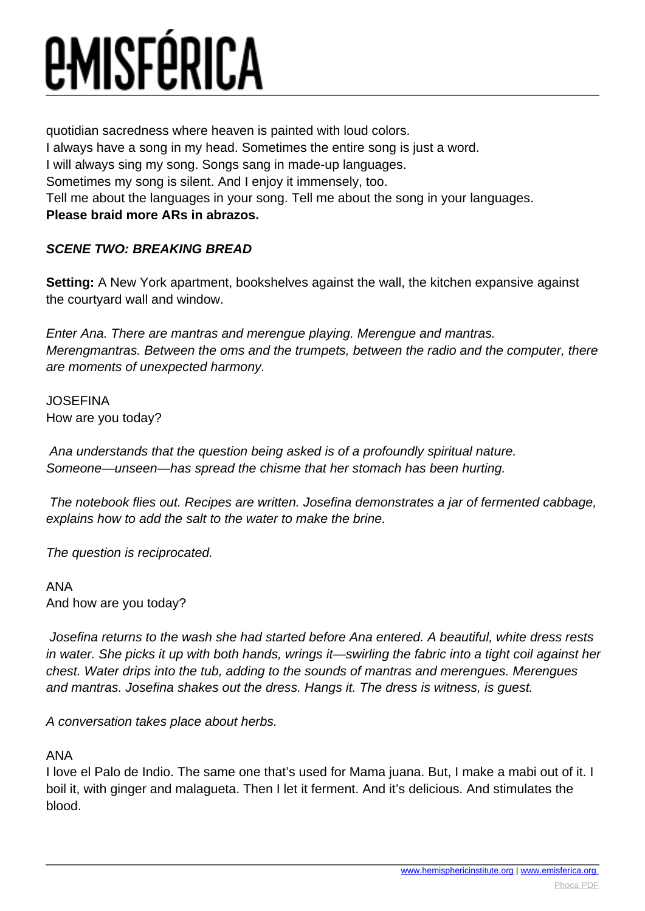quotidian sacredness where heaven is painted with loud colors.

I always have a song in my head. Sometimes the entire song is just a word.

I will always sing my song. Songs sang in made-up languages.

Sometimes my song is silent. And I enjoy it immensely, too.

Tell me about the languages in your song. Tell me about the song in your languages.

## **Please braid more ARs in abrazos.**

## **SCENE TWO: BREAKING BREAD**

**Setting:** A New York apartment, bookshelves against the wall, the kitchen expansive against the courtyard wall and window.

Enter Ana. There are mantras and merengue playing. Merengue and mantras. Merengmantras. Between the oms and the trumpets, between the radio and the computer, there are moments of unexpected harmony.

JOSEFINA How are you today?

 Ana understands that the question being asked is of a profoundly spiritual nature. Someone—unseen—has spread the chisme that her stomach has been hurting.

 The notebook flies out. Recipes are written. Josefina demonstrates a jar of fermented cabbage, explains how to add the salt to the water to make the brine.

The question is reciprocated.

ANA And how are you today?

 Josefina returns to the wash she had started before Ana entered. A beautiful, white dress rests in water. She picks it up with both hands, wrings it—swirling the fabric into a tight coil against her chest. Water drips into the tub, adding to the sounds of mantras and merengues. Merengues and mantras. Josefina shakes out the dress. Hangs it. The dress is witness, is guest.

A conversation takes place about herbs.

## ANA

I love el Palo de Indio. The same one that's used for Mama juana. But, I make a mabi out of it. I boil it, with ginger and malagueta. Then I let it ferment. And it's delicious. And stimulates the blood.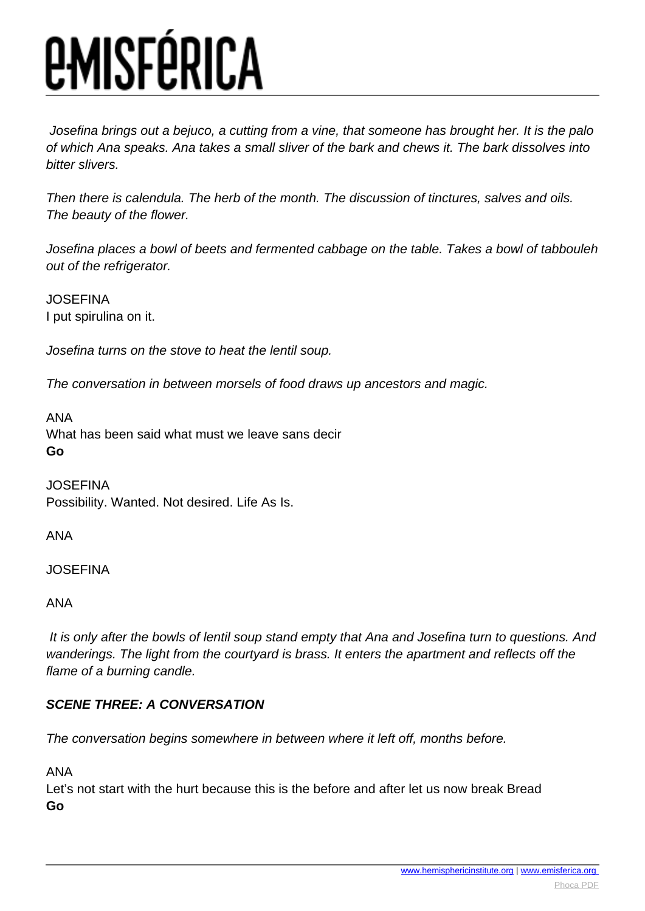Josefina brings out a bejuco, a cutting from a vine, that someone has brought her. It is the palo of which Ana speaks. Ana takes a small sliver of the bark and chews it. The bark dissolves into bitter slivers.

Then there is calendula. The herb of the month. The discussion of tinctures, salves and oils. The beauty of the flower.

Josefina places a bowl of beets and fermented cabbage on the table. Takes a bowl of tabbouleh out of the refrigerator.

**JOSEFINA** I put spirulina on it.

Josefina turns on the stove to heat the lentil soup.

The conversation in between morsels of food draws up ancestors and magic.

ANA What has been said what must we leave sans decir **Go**

**JOSEFINA** Possibility. Wanted. Not desired. Life As Is.

ANA

**JOSEFINA** 

ANA

 It is only after the bowls of lentil soup stand empty that Ana and Josefina turn to questions. And wanderings. The light from the courtyard is brass. It enters the apartment and reflects off the flame of a burning candle.

## **SCENE THREE: A CONVERSATION**

The conversation begins somewhere in between where it left off, months before.

ANA

Let's not start with the hurt because this is the before and after let us now break Bread **Go**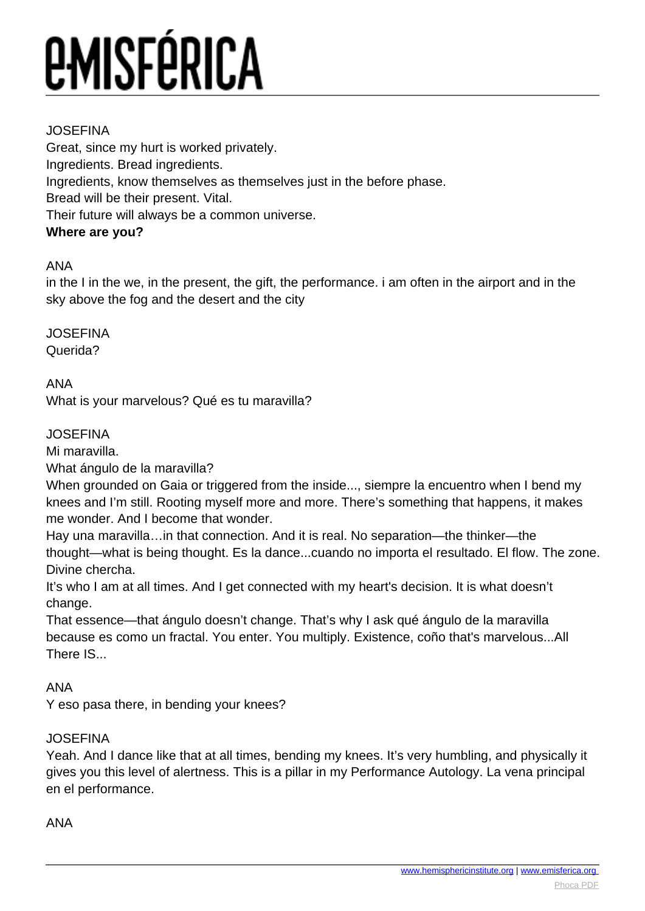## JOSEFINA

Great, since my hurt is worked privately. Ingredients. Bread ingredients. Ingredients, know themselves as themselves just in the before phase. Bread will be their present. Vital. Their future will always be a common universe. **Where are you?** 

## ANA

in the I in the we, in the present, the gift, the performance. i am often in the airport and in the sky above the fog and the desert and the city

JOSEFINA Querida?

ANA

What is your marvelous? Qué es tu maravilla?

## JOSEFINA

Mi maravilla.

What ángulo de la maravilla?

When grounded on Gaia or triggered from the inside..., siempre la encuentro when I bend my knees and I'm still. Rooting myself more and more. There's something that happens, it makes me wonder. And I become that wonder.

Hay una maravilla…in that connection. And it is real. No separation—the thinker—the thought—what is being thought. Es la dance...cuando no importa el resultado. El flow. The zone. Divine chercha.

It's who I am at all times. And I get connected with my heart's decision. It is what doesn't change.

That essence—that ángulo doesn't change. That's why I ask qué ángulo de la maravilla because es como un fractal. You enter. You multiply. Existence, coño that's marvelous...All There IS...

ANA

Y eso pasa there, in bending your knees?

## JOSEFINA

Yeah. And I dance like that at all times, bending my knees. It's very humbling, and physically it gives you this level of alertness. This is a pillar in my Performance Autology. La vena principal en el performance.

### ANA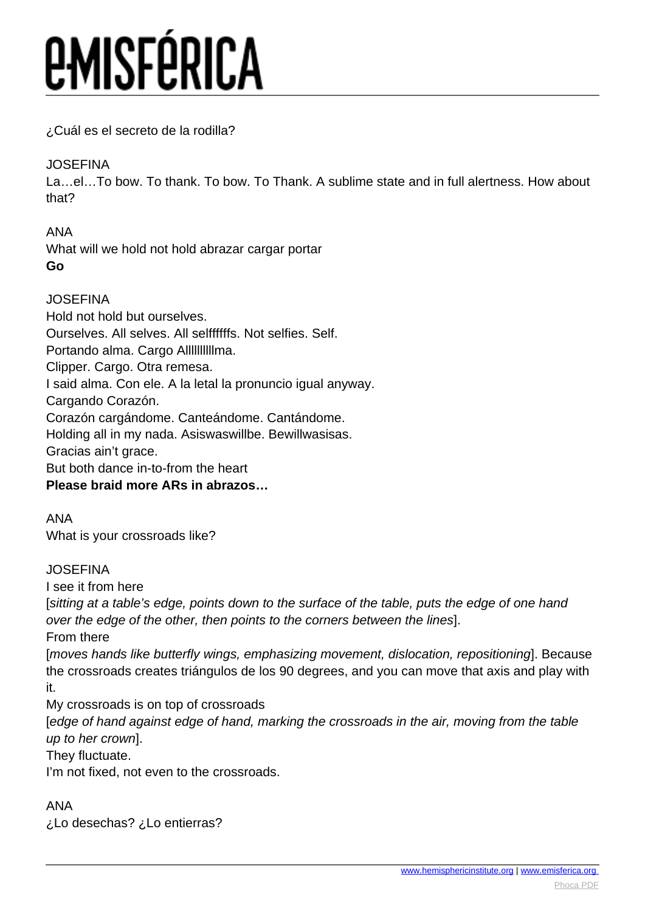¿Cuál es el secreto de la rodilla?

## JOSEFINA

La…el…To bow. To thank. To bow. To Thank. A sublime state and in full alertness. How about that?

ANA What will we hold not hold abrazar cargar portar **Go**

## JOSEFINA

Hold not hold but ourselves. Ourselves. All selves. All selffffffs. Not selfies. Self. Portando alma. Cargo Allllllllllma. Clipper. Cargo. Otra remesa. I said alma. Con ele. A la letal la pronuncio igual anyway. Cargando Corazón. Corazón cargándome. Canteándome. Cantándome. Holding all in my nada. Asiswaswillbe. Bewillwasisas. Gracias ain't grace. But both dance in-to-from the heart **Please braid more ARs in abrazos…**

ANA What is your crossroads like?

## JOSEFINA

I see it from here

[sitting at a table's edge, points down to the surface of the table, puts the edge of one hand over the edge of the other, then points to the corners between the lines].

From there

[moves hands like butterfly wings, emphasizing movement, dislocation, repositioning]. Because the crossroads creates triángulos de los 90 degrees, and you can move that axis and play with it.

My crossroads is on top of crossroads

[edge of hand against edge of hand, marking the crossroads in the air, moving from the table up to her crown].

They fluctuate.

I'm not fixed, not even to the crossroads.

ANA

¿Lo desechas? ¿Lo entierras?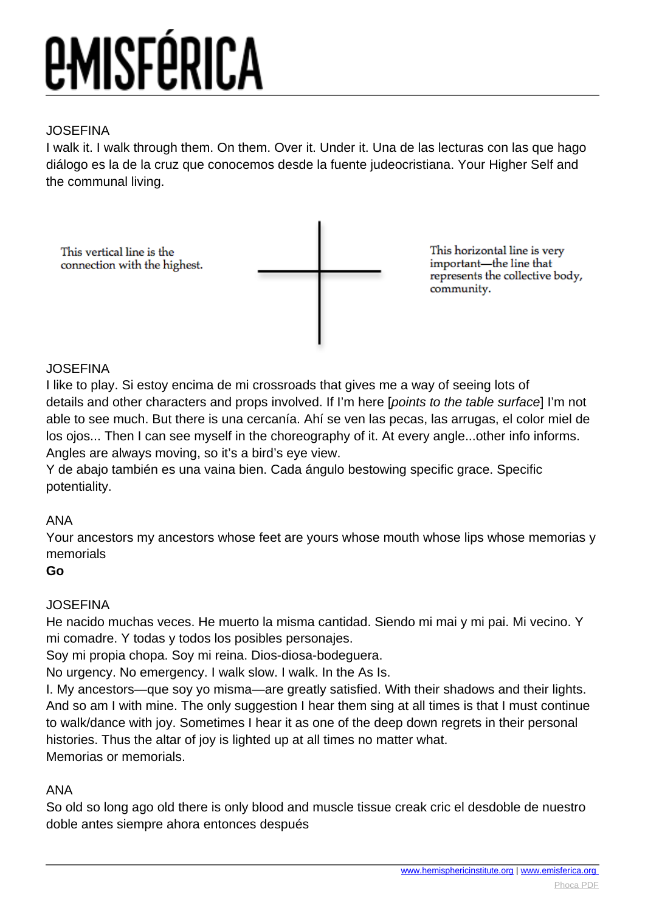## JOSEFINA

I walk it. I walk through them. On them. Over it. Under it. Una de las lecturas con las que hago diálogo es la de la cruz que conocemos desde la fuente judeocristiana. Your Higher Self and the communal living.

This vertical line is the connection with the highest. This horizontal line is very important-the line that represents the collective body, community.

## **JOSEFINA**

I like to play. Si estoy encima de mi crossroads that gives me a way of seeing lots of details and other characters and props involved. If I'm here [points to the table surface] I'm not able to see much. But there is una cercanía. Ahí se ven las pecas, las arrugas, el color miel de los ojos... Then I can see myself in the choreography of it. At every angle...other info informs. Angles are always moving, so it's a bird's eye view.

Y de abajo también es una vaina bien. Cada ángulo bestowing specific grace. Specific potentiality.

## ANA

Your ancestors my ancestors whose feet are yours whose mouth whose lips whose memorias y memorials

**Go**

## JOSEFINA

He nacido muchas veces. He muerto la misma cantidad. Siendo mi mai y mi pai. Mi vecino. Y mi comadre. Y todas y todos los posibles personajes.

Soy mi propia chopa. Soy mi reina. Dios-diosa-bodeguera.

No urgency. No emergency. I walk slow. I walk. In the As Is.

I. My ancestors—que soy yo misma—are greatly satisfied. With their shadows and their lights. And so am I with mine. The only suggestion I hear them sing at all times is that I must continue to walk/dance with joy. Sometimes I hear it as one of the deep down regrets in their personal histories. Thus the altar of joy is lighted up at all times no matter what. Memorias or memorials.

## ANA

So old so long ago old there is only blood and muscle tissue creak cric el desdoble de nuestro doble antes siempre ahora entonces después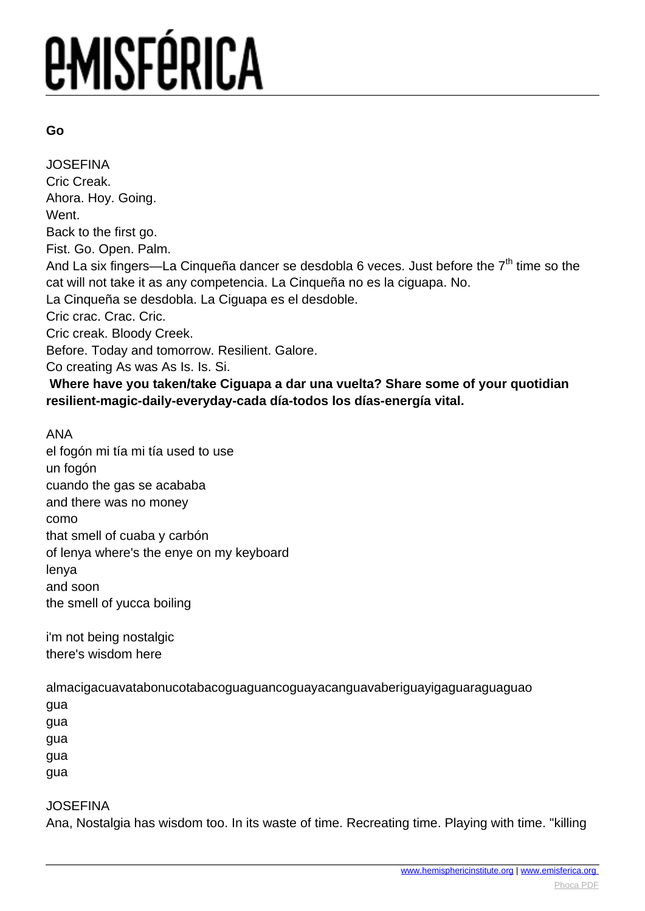### **Go**

JOSEFINA Cric Creak. Ahora. Hoy. Going. Went. Back to the first go. Fist. Go. Open. Palm. And La six fingers—La Cinqueña dancer se desdobla 6 veces. Just before the  $7<sup>th</sup>$  time so the cat will not take it as any competencia. La Cinqueña no es la ciguapa. No. La Cinqueña se desdobla. La Ciguapa es el desdoble. Cric crac. Crac. Cric. Cric creak. Bloody Creek. Before. Today and tomorrow. Resilient. Galore. Co creating As was As Is. Is. Si.  **Where have you taken/take Ciguapa a dar una vuelta? Share some of your quotidian resilient-magic-daily-everyday-cada día-todos los días-energía vital.** 

### ANA

el fogón mi tía mi tía used to use un fogón cuando the gas se acababa and there was no money como that smell of cuaba y carbón of lenya where's the enye on my keyboard lenya and soon the smell of yucca boiling

i'm not being nostalgic there's wisdom here

almacigacuavatabonucotabacoguaguancoguayacanguavaberiguayigaguaraguaguao

gua

gua

gua

gua

gua

### JOSEFINA

Ana, Nostalgia has wisdom too. In its waste of time. Recreating time. Playing with time. "killing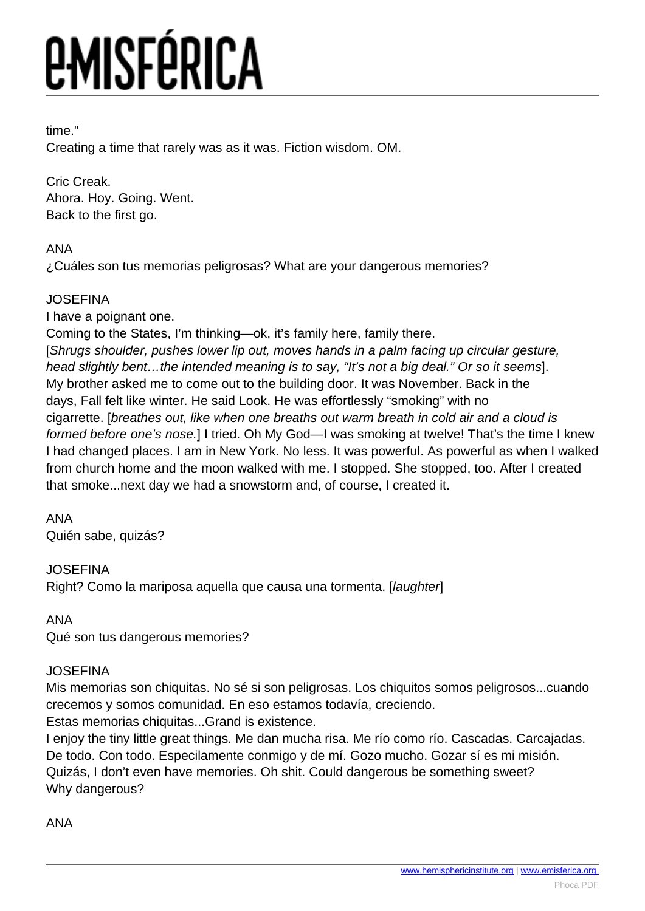## time."

Creating a time that rarely was as it was. Fiction wisdom. OM.

Cric Creak. Ahora. Hoy. Going. Went. Back to the first go.

## ANA

¿Cuáles son tus memorias peligrosas? What are your dangerous memories?

## JOSEFINA

I have a poignant one.

Coming to the States, I'm thinking—ok, it's family here, family there.

[Shrugs shoulder, pushes lower lip out, moves hands in a palm facing up circular gesture, head slightly bent…the intended meaning is to say, "It's not a big deal." Or so it seems]. My brother asked me to come out to the building door. It was November. Back in the days, Fall felt like winter. He said Look. He was effortlessly "smoking" with no cigarrette. [breathes out, like when one breaths out warm breath in cold air and a cloud is formed before one's nose.] I tried. Oh My God-I was smoking at twelve! That's the time I knew I had changed places. I am in New York. No less. It was powerful. As powerful as when I walked from church home and the moon walked with me. I stopped. She stopped, too. After I created that smoke...next day we had a snowstorm and, of course, I created it.

## ANA

Quién sabe, quizás?

## JOSEFINA

Right? Como la mariposa aquella que causa una tormenta. [laughter]

## ANA

Qué son tus dangerous memories?

## JOSEFINA

Mis memorias son chiquitas. No sé si son peligrosas. Los chiquitos somos peligrosos...cuando crecemos y somos comunidad. En eso estamos todavía, creciendo.

Estas memorias chiquitas...Grand is existence.

I enjoy the tiny little great things. Me dan mucha risa. Me río como río. Cascadas. Carcajadas. De todo. Con todo. Especilamente conmigo y de mí. Gozo mucho. Gozar sí es mi misión. Quizás, I don't even have memories. Oh shit. Could dangerous be something sweet? Why dangerous?

## ANA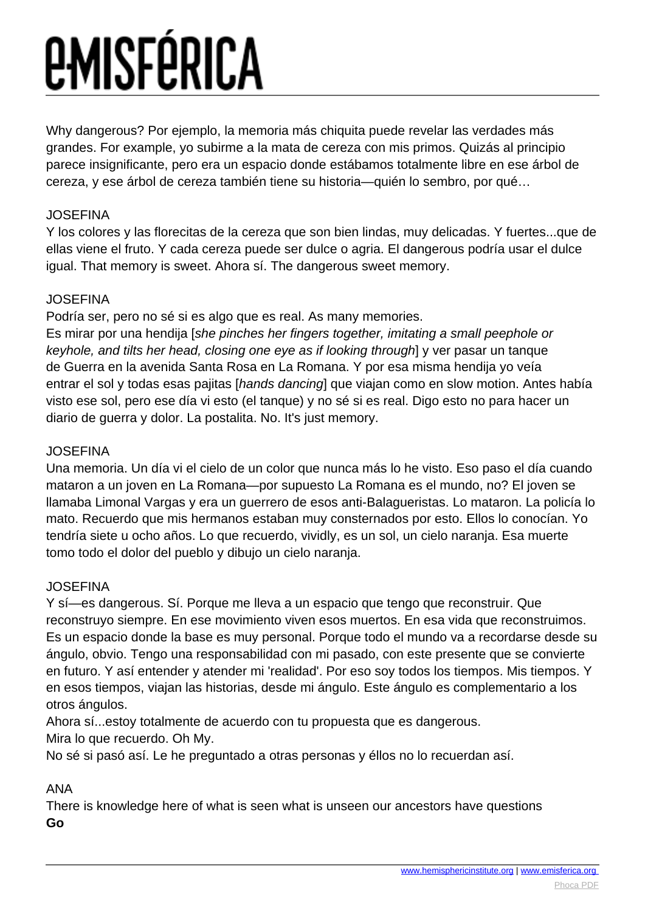Why dangerous? Por ejemplo, la memoria más chiquita puede revelar las verdades más grandes. For example, yo subirme a la mata de cereza con mis primos. Quizás al principio parece insignificante, pero era un espacio donde estábamos totalmente libre en ese árbol de cereza, y ese árbol de cereza también tiene su historia—quién lo sembro, por qué…

## JOSEFINA

Y los colores y las florecitas de la cereza que son bien lindas, muy delicadas. Y fuertes...que de ellas viene el fruto. Y cada cereza puede ser dulce o agria. El dangerous podría usar el dulce igual. That memory is sweet. Ahora sí. The dangerous sweet memory.

## **JOSEFINA**

Podría ser, pero no sé si es algo que es real. As many memories.

Es mirar por una hendija [she pinches her fingers together, imitating a small peephole or keyhole, and tilts her head, closing one eye as if looking through] y ver pasar un tanque de Guerra en la avenida Santa Rosa en La Romana. Y por esa misma hendija yo veía entrar el sol y todas esas pajitas [hands dancing] que viajan como en slow motion. Antes había visto ese sol, pero ese día vi esto (el tanque) y no sé si es real. Digo esto no para hacer un diario de guerra y dolor. La postalita. No. It's just memory.

## JOSEFINA

Una memoria. Un día vi el cielo de un color que nunca más lo he visto. Eso paso el día cuando mataron a un joven en La Romana—por supuesto La Romana es el mundo, no? El joven se llamaba Limonal Vargas y era un guerrero de esos anti-Balagueristas. Lo mataron. La policía lo mato. Recuerdo que mis hermanos estaban muy consternados por esto. Ellos lo conocían. Yo tendría siete u ocho años. Lo que recuerdo, vividly, es un sol, un cielo naranja. Esa muerte tomo todo el dolor del pueblo y dibujo un cielo naranja.

## **JOSEFINA**

Y sí—es dangerous. Sí. Porque me lleva a un espacio que tengo que reconstruir. Que reconstruyo siempre. En ese movimiento viven esos muertos. En esa vida que reconstruimos. Es un espacio donde la base es muy personal. Porque todo el mundo va a recordarse desde su ángulo, obvio. Tengo una responsabilidad con mi pasado, con este presente que se convierte en futuro. Y así entender y atender mi 'realidad'. Por eso soy todos los tiempos. Mis tiempos. Y en esos tiempos, viajan las historias, desde mi ángulo. Este ángulo es complementario a los otros ángulos.

Ahora sí...estoy totalmente de acuerdo con tu propuesta que es dangerous. Mira lo que recuerdo. Oh My.

No sé si pasó así. Le he preguntado a otras personas y éllos no lo recuerdan así.

## ANA

There is knowledge here of what is seen what is unseen our ancestors have questions **Go**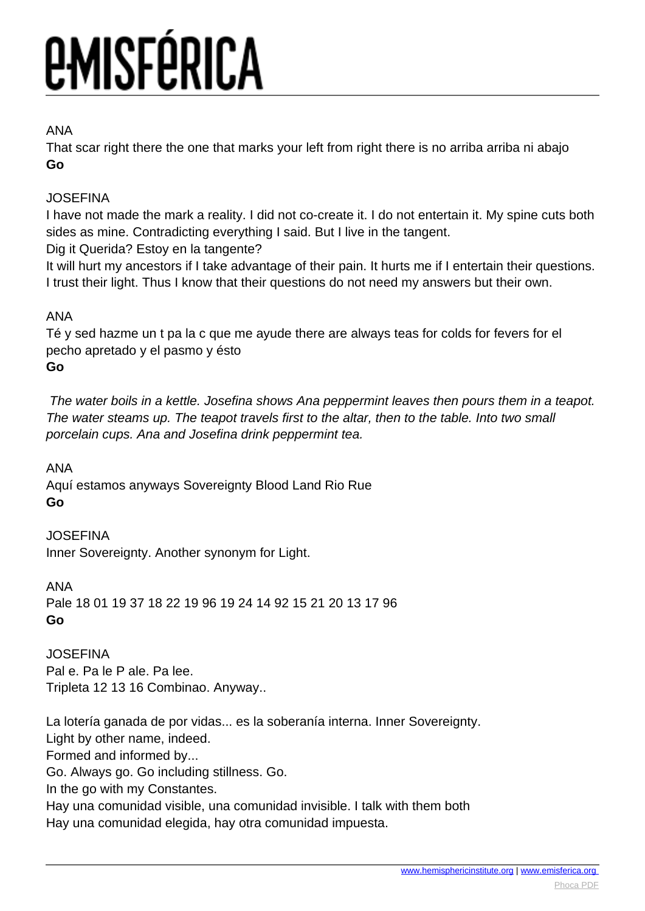## ANA

That scar right there the one that marks your left from right there is no arriba arriba ni abajo **Go**

## JOSEFINA

I have not made the mark a reality. I did not co-create it. I do not entertain it. My spine cuts both sides as mine. Contradicting everything I said. But I live in the tangent. Dig it Querida? Estoy en la tangente?

It will hurt my ancestors if I take advantage of their pain. It hurts me if I entertain their questions. I trust their light. Thus I know that their questions do not need my answers but their own.

## ANA

Té y sed hazme un t pa la c que me ayude there are always teas for colds for fevers for el pecho apretado y el pasmo y ésto **Go**

 The water boils in a kettle. Josefina shows Ana peppermint leaves then pours them in a teapot. The water steams up. The teapot travels first to the altar, then to the table. Into two small porcelain cups. Ana and Josefina drink peppermint tea.

ANA Aquí estamos anyways Sovereignty Blood Land Rio Rue **Go**

**JOSEFINA** Inner Sovereignty. Another synonym for Light.

ANA Pale 18 01 19 37 18 22 19 96 19 24 14 92 15 21 20 13 17 96 **Go**

JOSEFINA Pal e. Pa le P ale. Pa lee. Tripleta 12 13 16 Combinao. Anyway..

La lotería ganada de por vidas... es la soberanía interna. Inner Sovereignty. Light by other name, indeed. Formed and informed by... Go. Always go. Go including stillness. Go. In the go with my Constantes. Hay una comunidad visible, una comunidad invisible. I talk with them both Hay una comunidad elegida, hay otra comunidad impuesta.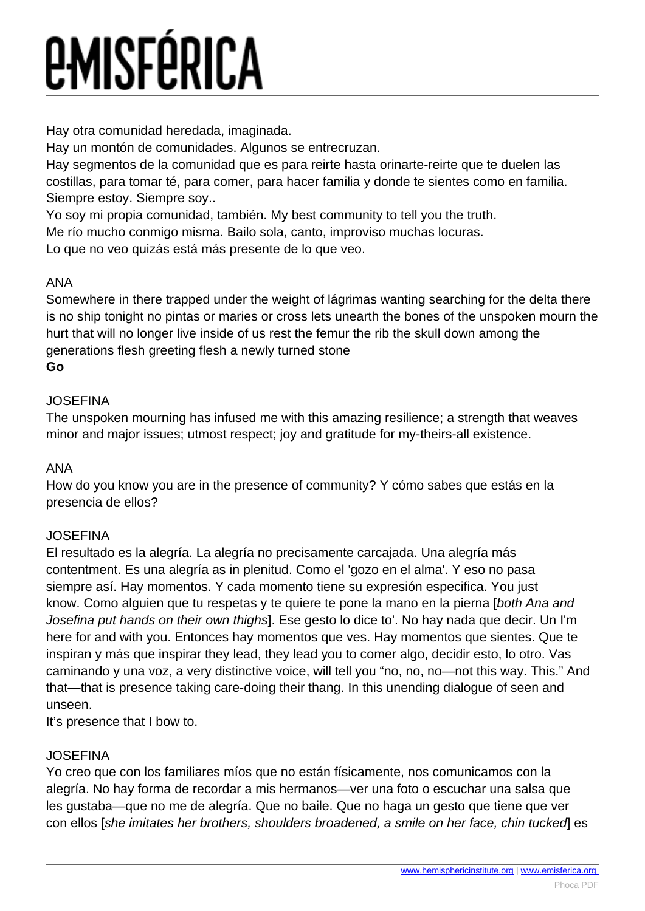Hay otra comunidad heredada, imaginada.

Hay un montón de comunidades. Algunos se entrecruzan.

Hay segmentos de la comunidad que es para reirte hasta orinarte-reirte que te duelen las costillas, para tomar té, para comer, para hacer familia y donde te sientes como en familia. Siempre estoy. Siempre soy..

Yo soy mi propia comunidad, también. My best community to tell you the truth.

Me río mucho conmigo misma. Bailo sola, canto, improviso muchas locuras.

Lo que no veo quizás está más presente de lo que veo.

## ANA

Somewhere in there trapped under the weight of lágrimas wanting searching for the delta there is no ship tonight no pintas or maries or cross lets unearth the bones of the unspoken mourn the hurt that will no longer live inside of us rest the femur the rib the skull down among the generations flesh greeting flesh a newly turned stone **Go**

## JOSEFINA

The unspoken mourning has infused me with this amazing resilience; a strength that weaves minor and major issues; utmost respect; joy and gratitude for my-theirs-all existence.

## ANA

How do you know you are in the presence of community? Y cómo sabes que estás en la presencia de ellos?

## **JOSEFINA**

El resultado es la alegría. La alegría no precisamente carcajada. Una alegría más contentment. Es una alegría as in plenitud. Como el 'gozo en el alma'. Y eso no pasa siempre así. Hay momentos. Y cada momento tiene su expresión especifica. You just know. Como alguien que tu respetas y te quiere te pone la mano en la pierna [both Ana and Josefina put hands on their own thighs]. Ese gesto lo dice to'. No hay nada que decir. Un I'm here for and with you. Entonces hay momentos que ves. Hay momentos que sientes. Que te inspiran y más que inspirar they lead, they lead you to comer algo, decidir esto, lo otro. Vas caminando y una voz, a very distinctive voice, will tell you "no, no, no—not this way. This." And that—that is presence taking care-doing their thang. In this unending dialogue of seen and unseen.

It's presence that I bow to.

## JOSEFINA

Yo creo que con los familiares míos que no están físicamente, nos comunicamos con la alegría. No hay forma de recordar a mis hermanos—ver una foto o escuchar una salsa que les gustaba—que no me de alegría. Que no baile. Que no haga un gesto que tiene que ver con ellos [she imitates her brothers, shoulders broadened, a smile on her face, chin tucked] es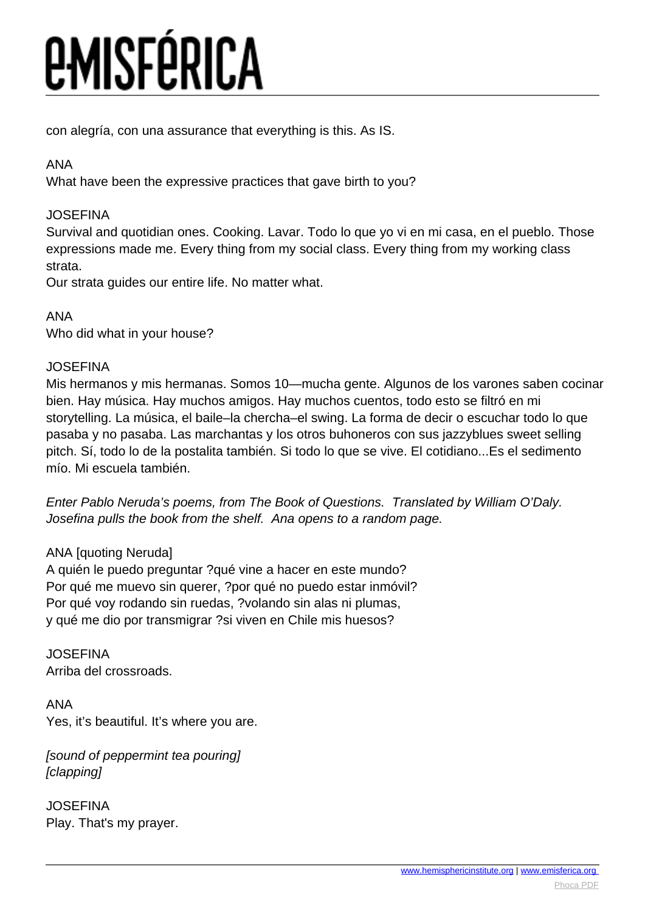con alegría, con una assurance that everything is this. As IS.

## ANA

What have been the expressive practices that gave birth to you?

## **JOSEFINA**

Survival and quotidian ones. Cooking. Lavar. Todo lo que yo vi en mi casa, en el pueblo. Those expressions made me. Every thing from my social class. Every thing from my working class strata.

Our strata guides our entire life. No matter what.

## ANA

Who did what in your house?

## **JOSEFINA**

Mis hermanos y mis hermanas. Somos 10—mucha gente. Algunos de los varones saben cocinar bien. Hay música. Hay muchos amigos. Hay muchos cuentos, todo esto se filtró en mi storytelling. La música, el baile–la chercha–el swing. La forma de decir o escuchar todo lo que pasaba y no pasaba. Las marchantas y los otros buhoneros con sus jazzyblues sweet selling pitch. Sí, todo lo de la postalita también. Si todo lo que se vive. El cotidiano...Es el sedimento mío. Mi escuela también.

Enter Pablo Neruda's poems, from The Book of Questions. Translated by William O'Daly. Josefina pulls the book from the shelf. Ana opens to a random page.

## ANA [quoting Neruda]

A quién le puedo preguntar ?qué vine a hacer en este mundo? Por qué me muevo sin querer, ?por qué no puedo estar inmóvil? Por qué voy rodando sin ruedas, ?volando sin alas ni plumas, y qué me dio por transmigrar ?si viven en Chile mis huesos?

JOSEFINA Arriba del crossroads.

ANA Yes, it's beautiful. It's where you are.

[sound of peppermint tea pouring] [clapping]

JOSEFINA Play. That's my prayer.